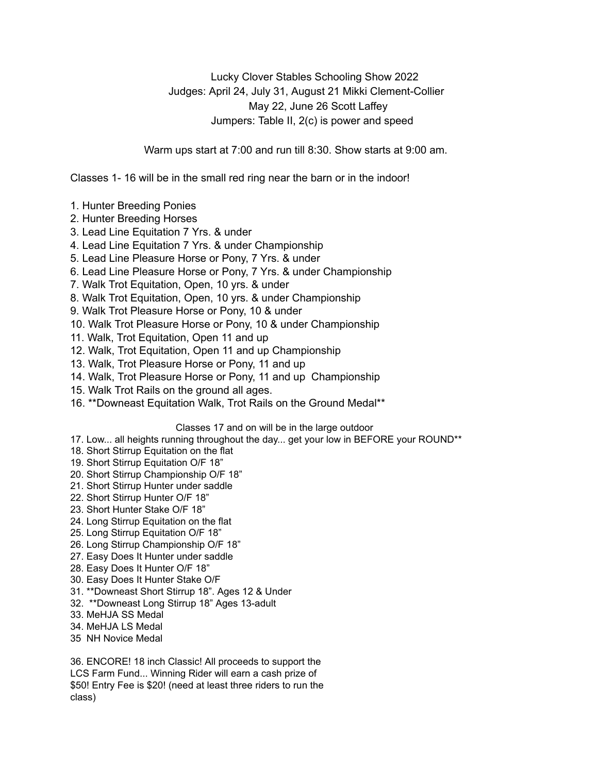Lucky Clover Stables Schooling Show 2022 Judges: April 24, July 31, August 21 Mikki Clement-Collier May 22, June 26 Scott Laffey Jumpers: Table II, 2(c) is power and speed

Warm ups start at 7:00 and run till 8:30. Show starts at 9:00 am.

Classes 1- 16 will be in the small red ring near the barn or in the indoor!

- 1. Hunter Breeding Ponies
- 2. Hunter Breeding Horses
- 3. Lead Line Equitation 7 Yrs. & under
- 4. Lead Line Equitation 7 Yrs. & under Championship
- 5. Lead Line Pleasure Horse or Pony, 7 Yrs. & under
- 6. Lead Line Pleasure Horse or Pony, 7 Yrs. & under Championship
- 7. Walk Trot Equitation, Open, 10 yrs. & under
- 8. Walk Trot Equitation, Open, 10 yrs. & under Championship
- 9. Walk Trot Pleasure Horse or Pony, 10 & under
- 10. Walk Trot Pleasure Horse or Pony, 10 & under Championship
- 11. Walk, Trot Equitation, Open 11 and up
- 12. Walk, Trot Equitation, Open 11 and up Championship
- 13. Walk, Trot Pleasure Horse or Pony, 11 and up
- 14. Walk, Trot Pleasure Horse or Pony, 11 and up Championship
- 15. Walk Trot Rails on the ground all ages.
- 16. \*\*Downeast Equitation Walk, Trot Rails on the Ground Medal\*\*

## Classes 17 and on will be in the large outdoor

- 17. Low... all heights running throughout the day... get your low in BEFORE your ROUND\*\*
- 18. Short Stirrup Equitation on the flat
- 19. Short Stirrup Equitation O/F 18"
- 20. Short Stirrup Championship O/F 18"
- 21. Short Stirrup Hunter under saddle
- 22. Short Stirrup Hunter O/F 18"
- 23. Short Hunter Stake O/F 18"
- 24. Long Stirrup Equitation on the flat
- 25. Long Stirrup Equitation O/F 18"
- 26. Long Stirrup Championship O/F 18"
- 27. Easy Does It Hunter under saddle
- 28. Easy Does It Hunter O/F 18"
- 30. Easy Does It Hunter Stake O/F
- 31. \*\*Downeast Short Stirrup 18". Ages 12 & Under
- 32. \*\*Downeast Long Stirrup 18" Ages 13-adult
- 33. MeHJA SS Medal
- 34. MeHJA LS Medal
- 35 NH Novice Medal

36. ENCORE! 18 inch Classic! All proceeds to support the LCS Farm Fund... Winning Rider will earn a cash prize of \$50! Entry Fee is \$20! (need at least three riders to run the class)